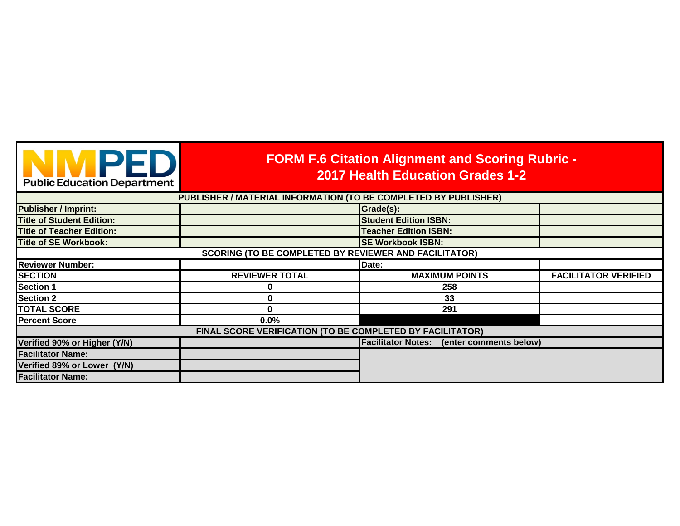| NMPED<br><b>Public Education Department</b>                     | <b>FORM F.6 Citation Alignment and Scoring Rubric -</b><br><b>2017 Health Education Grades 1-2</b> |                                                  |                             |
|-----------------------------------------------------------------|----------------------------------------------------------------------------------------------------|--------------------------------------------------|-----------------------------|
| PUBLISHER / MATERIAL INFORMATION (TO BE COMPLETED BY PUBLISHER) |                                                                                                    |                                                  |                             |
| <b>Publisher / Imprint:</b>                                     |                                                                                                    | Grade(s):                                        |                             |
| <b>Title of Student Edition:</b>                                |                                                                                                    | <b>Student Edition ISBN:</b>                     |                             |
| <b>Title of Teacher Edition:</b>                                |                                                                                                    | <b>Teacher Edition ISBN:</b>                     |                             |
| <b>Title of SE Workbook:</b>                                    |                                                                                                    | <b>SE Workbook ISBN:</b>                         |                             |
| <b>SCORING (TO BE COMPLETED BY REVIEWER AND FACILITATOR)</b>    |                                                                                                    |                                                  |                             |
| <b>Reviewer Number:</b>                                         |                                                                                                    | Date:                                            |                             |
| <b>SECTION</b>                                                  | <b>REVIEWER TOTAL</b>                                                                              | <b>MAXIMUM POINTS</b>                            | <b>FACILITATOR VERIFIED</b> |
| <b>Section 1</b>                                                |                                                                                                    | 258                                              |                             |
| <b>Section 2</b>                                                | O                                                                                                  | 33                                               |                             |
| <b>TOTAL SCORE</b>                                              | 0                                                                                                  | 291                                              |                             |
| <b>Percent Score</b>                                            | 0.0%                                                                                               |                                                  |                             |
|                                                                 | FINAL SCORE VERIFICATION (TO BE COMPLETED BY FACILITATOR)                                          |                                                  |                             |
| Verified 90% or Higher (Y/N)                                    |                                                                                                    | <b>Facilitator Notes:</b> (enter comments below) |                             |
| <b>Facilitator Name:</b>                                        |                                                                                                    |                                                  |                             |
| Verified 89% or Lower (Y/N)                                     |                                                                                                    |                                                  |                             |
| <b>Facilitator Name:</b>                                        |                                                                                                    |                                                  |                             |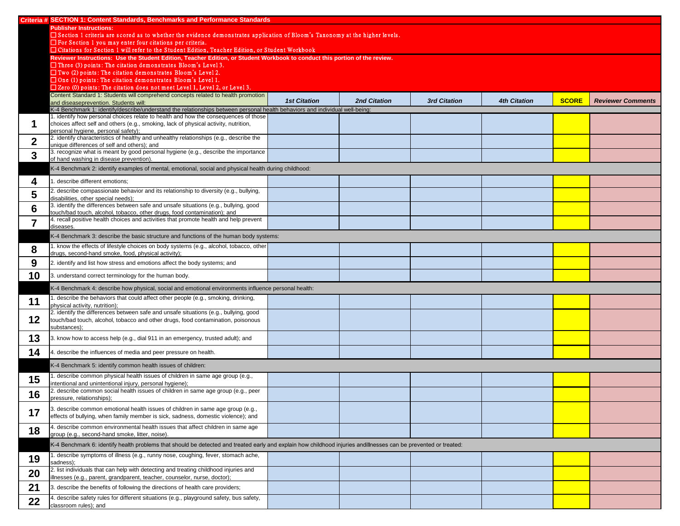|                  | Criteria # SECTION 1: Content Standards, Benchmarks and Performance Standards                                                                                     |                     |                     |                     |                     |              |                          |
|------------------|-------------------------------------------------------------------------------------------------------------------------------------------------------------------|---------------------|---------------------|---------------------|---------------------|--------------|--------------------------|
|                  | <b>Publisher Instructions:</b>                                                                                                                                    |                     |                     |                     |                     |              |                          |
|                  | □ Section 1 criteria are scored as to whether the evidence demonstrates application of Bloom's Taxonomy at the higher levels.                                     |                     |                     |                     |                     |              |                          |
|                  | $\Box$ For Section 1 you may enter four citations per criteria.                                                                                                   |                     |                     |                     |                     |              |                          |
|                  | □ Citations for Section 1 will refer to the Student Edition, Teacher Edition, or Student Workbook                                                                 |                     |                     |                     |                     |              |                          |
|                  | Reviewer Instructions: Use the Student Edition, Teacher Edition, or Student Workbook to conduct this portion of the review.                                       |                     |                     |                     |                     |              |                          |
|                  | $\Box$ Three (3) points: The citation demonstrates Bloom's Level 3.                                                                                               |                     |                     |                     |                     |              |                          |
|                  | $\Box$ Two (2) points: The citation demonstrates Bloom's Level 2.                                                                                                 |                     |                     |                     |                     |              |                          |
|                  | $\Box$ One (1) points: The citation demonstrates Bloom's Level 1.<br>$\Box$ Zero (0) points: The citation does not meet Level 1, Level 2, or Level 3.             |                     |                     |                     |                     |              |                          |
|                  | Content Standard 1: Students will comprehend concepts related to health promotion                                                                                 |                     |                     |                     |                     |              |                          |
|                  | and diseaseprevention. Students will:                                                                                                                             | <b>1st Citation</b> | <b>2nd Citation</b> | <b>3rd Citation</b> | <b>4th Citation</b> | <b>SCORE</b> | <b>Reviewer Comments</b> |
|                  | K-4 Benchmark 1: identify/describe/understand the relationships between personal health behaviors and individual well-being:                                      |                     |                     |                     |                     |              |                          |
|                  | 1. identify how personal choices relate to health and how the consequences of those                                                                               |                     |                     |                     |                     |              |                          |
|                  | choices affect self and others (e.g., smoking, lack of physical activity, nutrition,                                                                              |                     |                     |                     |                     |              |                          |
|                  | personal hygiene, personal safety);                                                                                                                               |                     |                     |                     |                     |              |                          |
|                  | 2. identify characteristics of healthy and unhealthy relationships (e.g., describe the                                                                            |                     |                     |                     |                     |              |                          |
|                  | unique differences of self and others); and<br>3. recognize what is meant by good personal hygiene (e.g., describe the importance                                 |                     |                     |                     |                     |              |                          |
| $\boldsymbol{3}$ | of hand washing in disease prevention).                                                                                                                           |                     |                     |                     |                     |              |                          |
|                  | K-4 Benchmark 2: identify examples of mental, emotional, social and physical health during childhood:                                                             |                     |                     |                     |                     |              |                          |
|                  | describe different emotions;                                                                                                                                      |                     |                     |                     |                     |              |                          |
| 5                | 2. describe compassionate behavior and its relationship to diversity (e.g., bullying,<br>disabilities, other special needs);                                      |                     |                     |                     |                     |              |                          |
| 6                | 3. identify the differences between safe and unsafe situations (e.g., bullying, good<br>touch/bad touch, alcohol, tobacco, other drugs, food contamination); and  |                     |                     |                     |                     |              |                          |
|                  | 4. recall positive health choices and activities that promote health and help prevent<br>diseases.                                                                |                     |                     |                     |                     |              |                          |
|                  | K-4 Benchmark 3: describe the basic structure and functions of the human body systems:                                                                            |                     |                     |                     |                     |              |                          |
| 8                | 1. know the effects of lifestyle choices on body systems (e.g., alcohol, tobacco, other<br>drugs, second-hand smoke, food, physical activity);                    |                     |                     |                     |                     |              |                          |
| 9                | 2. identify and list how stress and emotions affect the body systems; and                                                                                         |                     |                     |                     |                     |              |                          |
| 10               | 3. understand correct terminology for the human body.                                                                                                             |                     |                     |                     |                     |              |                          |
|                  | K-4 Benchmark 4: describe how physical, social and emotional environments influence personal health:                                                              |                     |                     |                     |                     |              |                          |
| 11               | describe the behaviors that could affect other people (e.g., smoking, drinking,<br>physical activity, nutrition);                                                 |                     |                     |                     |                     |              |                          |
|                  | 2. identify the differences between safe and unsafe situations (e.g., bullying, good                                                                              |                     |                     |                     |                     |              |                          |
| $12$             | touch/bad touch, alcohol, tobacco and other drugs, food contamination, poisonous                                                                                  |                     |                     |                     |                     |              |                          |
|                  | substances);                                                                                                                                                      |                     |                     |                     |                     |              |                          |
| 13               | 3. know how to access help (e.g., dial 911 in an emergency, trusted adult); and                                                                                   |                     |                     |                     |                     |              |                          |
| 14               | 4. describe the influences of media and peer pressure on health.                                                                                                  |                     |                     |                     |                     |              |                          |
|                  | K-4 Benchmark 5: identify common health issues of children:                                                                                                       |                     |                     |                     |                     |              |                          |
| 15               | describe common physical health issues of children in same age group (e.g.,                                                                                       |                     |                     |                     |                     |              |                          |
|                  | intentional and unintentional injury, personal hygiene);<br>2. describe common social health issues of children in same age group (e.g., peer                     |                     |                     |                     |                     |              |                          |
| 16               | pressure, relationships);                                                                                                                                         |                     |                     |                     |                     |              |                          |
| 17               | 3. describe common emotional health issues of children in same age group (e.g.,                                                                                   |                     |                     |                     |                     |              |                          |
|                  | effects of bullying, when family member is sick, sadness, domestic violence); and                                                                                 |                     |                     |                     |                     |              |                          |
| 18               | 4. describe common environmental health issues that affect children in same age<br>group (e.g., second-hand smoke, litter, noise).                                |                     |                     |                     |                     |              |                          |
|                  | K-4 Benchmark 6: identify health problems that should be detected and treated early and explain how childhood injuries andillnesses can be prevented or treated:  |                     |                     |                     |                     |              |                          |
| 19               | . describe symptoms of illness (e.g., runny nose, coughing, fever, stomach ache,<br>sadness);                                                                     |                     |                     |                     |                     |              |                          |
| 20               | 2. list individuals that can help with detecting and treating childhood injuries and<br>illnesses (e.g., parent, grandparent, teacher, counselor, nurse, doctor); |                     |                     |                     |                     |              |                          |
| 21               | 3. describe the benefits of following the directions of health care providers;                                                                                    |                     |                     |                     |                     |              |                          |
|                  | 4. describe safety rules for different situations (e.g., playground safety, bus safety,                                                                           |                     |                     |                     |                     |              |                          |
| 22               | classroom rules); and                                                                                                                                             |                     |                     |                     |                     |              |                          |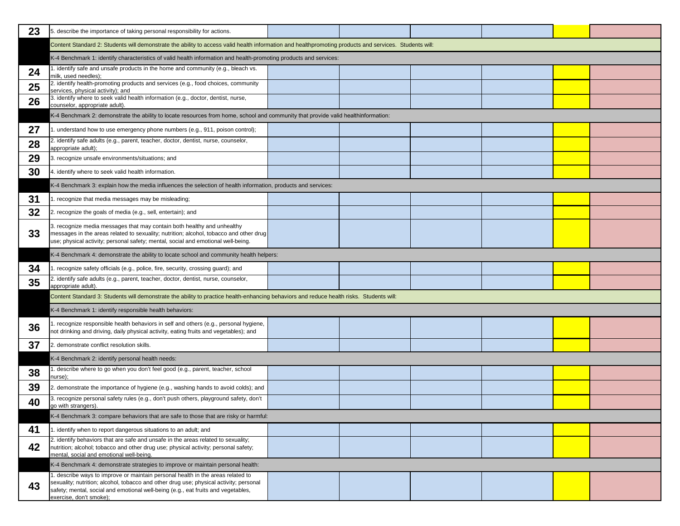| 23 | 5. describe the importance of taking personal responsibility for actions.                                                                                                                                                                                                                 |  |  |  |
|----|-------------------------------------------------------------------------------------------------------------------------------------------------------------------------------------------------------------------------------------------------------------------------------------------|--|--|--|
|    | Content Standard 2: Students will demonstrate the ability to access valid health information and healthpromoting products and services. Students will:                                                                                                                                    |  |  |  |
|    | K-4 Benchmark 1: identify characteristics of valid health information and health-promoting products and services:                                                                                                                                                                         |  |  |  |
| 24 | 1. identify safe and unsafe products in the home and community (e.g., bleach vs.<br>milk, used needles);                                                                                                                                                                                  |  |  |  |
| 25 | 2. identify health-promoting products and services (e.g., food choices, community<br>services, physical activity); and                                                                                                                                                                    |  |  |  |
| 26 | 3. identify where to seek valid health information (e.g., doctor, dentist, nurse,<br>counselor, appropriate adult).                                                                                                                                                                       |  |  |  |
|    | K-4 Benchmark 2: demonstrate the ability to locate resources from home, school and community that provide valid healthinformation:                                                                                                                                                        |  |  |  |
| 27 | 1. understand how to use emergency phone numbers (e.g., 911, poison control);                                                                                                                                                                                                             |  |  |  |
| 28 | 2. identify safe adults (e.g., parent, teacher, doctor, dentist, nurse, counselor,<br>appropriate adult);                                                                                                                                                                                 |  |  |  |
| 29 | 3. recognize unsafe environments/situations; and                                                                                                                                                                                                                                          |  |  |  |
| 30 | 4. identify where to seek valid health information.                                                                                                                                                                                                                                       |  |  |  |
|    | K-4 Benchmark 3: explain how the media influences the selection of health information, products and services:                                                                                                                                                                             |  |  |  |
| 31 | 1. recognize that media messages may be misleading;                                                                                                                                                                                                                                       |  |  |  |
| 32 | 2. recognize the goals of media (e.g., sell, entertain); and                                                                                                                                                                                                                              |  |  |  |
| 33 | 3. recognize media messages that may contain both healthy and unhealthy<br>messages in the areas related to sexuality; nutrition; alcohol, tobacco and other drug<br>use; physical activity; personal safety; mental, social and emotional well-being.                                    |  |  |  |
|    | K-4 Benchmark 4: demonstrate the ability to locate school and community health helpers:                                                                                                                                                                                                   |  |  |  |
| 34 | 1. recognize safety officials (e.g., police, fire, security, crossing guard); and                                                                                                                                                                                                         |  |  |  |
| 35 | 2. identify safe adults (e.g., parent, teacher, doctor, dentist, nurse, counselor,<br>appropriate adult).                                                                                                                                                                                 |  |  |  |
|    | Content Standard 3: Students will demonstrate the ability to practice health-enhancing behaviors and reduce health risks. Students will:                                                                                                                                                  |  |  |  |
|    | K-4 Benchmark 1: identify responsible health behaviors:                                                                                                                                                                                                                                   |  |  |  |
| 36 | 1. recognize responsible health behaviors in self and others (e.g., personal hygiene,<br>not drinking and driving, daily physical activity, eating fruits and vegetables); and                                                                                                            |  |  |  |
| 37 | 2. demonstrate conflict resolution skills.                                                                                                                                                                                                                                                |  |  |  |
|    | K-4 Benchmark 2: identify personal health needs:                                                                                                                                                                                                                                          |  |  |  |
| 38 | 1. describe where to go when you don't feel good (e.g., parent, teacher, school<br>nurse);                                                                                                                                                                                                |  |  |  |
| 39 | 2. demonstrate the importance of hygiene (e.g., washing hands to avoid colds); and                                                                                                                                                                                                        |  |  |  |
| 40 | 3. recognize personal safety rules (e.g., don't push others, playground safety, don't<br>go with strangers).                                                                                                                                                                              |  |  |  |
|    | K-4 Benchmark 3: compare behaviors that are safe to those that are risky or harmful:                                                                                                                                                                                                      |  |  |  |
| 41 | 1. identify when to report dangerous situations to an adult; and                                                                                                                                                                                                                          |  |  |  |
| 42 | 2. identify behaviors that are safe and unsafe in the areas related to sexuality;<br>nutrition; alcohol; tobacco and other drug use; physical activity; personal safety;<br>mental, social and emotional well-being.                                                                      |  |  |  |
|    | K-4 Benchmark 4: demonstrate strategies to improve or maintain personal health:                                                                                                                                                                                                           |  |  |  |
| 43 | 1. describe ways to improve or maintain personal health in the areas related to<br>sexuality; nutrition; alcohol, tobacco and other drug use; physical activity; personal<br>safety; mental, social and emotional well-being (e.g., eat fruits and vegetables,<br>exercise, don't smoke); |  |  |  |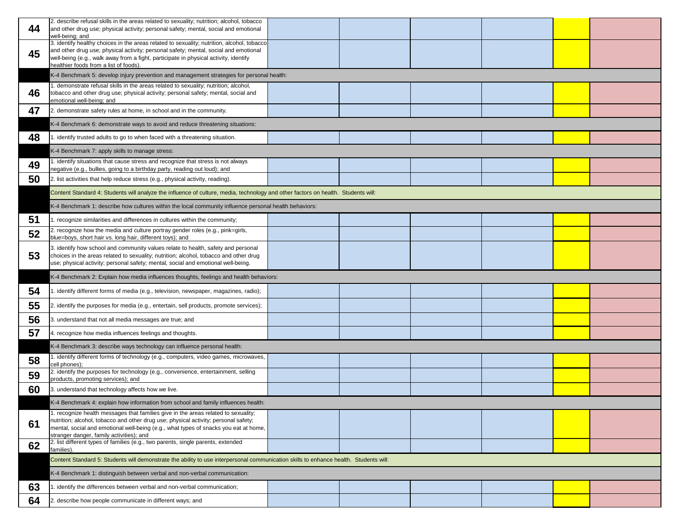| 44 | 2. describe refusal skills in the areas related to sexuality; nutrition; alcohol, tobacco<br>and other drug use; physical activity; personal safety; mental, social and emotional<br>well-being; and                                                                                                                |  |  |  |
|----|---------------------------------------------------------------------------------------------------------------------------------------------------------------------------------------------------------------------------------------------------------------------------------------------------------------------|--|--|--|
| 45 | 3. identify healthy choices in the areas related to sexuality; nutrition, alcohol, tobacco<br>and other drug use; physical activity; personal safety; mental, social and emotional<br>well-being (e.g., walk away from a fight, participate in physical activity, identify<br>healthier foods from a list of foods) |  |  |  |
|    | K-4 Benchmark 5: develop injury prevention and management strategies for personal health:                                                                                                                                                                                                                           |  |  |  |
| 46 | 1. demonstrate refusal skills in the areas related to sexuality; nutrition; alcohol,<br>tobacco and other drug use; physical activity; personal safety; mental, social and<br>emotional well-being; and                                                                                                             |  |  |  |
| 47 | 2. demonstrate safety rules at home, in school and in the community.                                                                                                                                                                                                                                                |  |  |  |
|    | K-4 Benchmark 6: demonstrate ways to avoid and reduce threatening situations:                                                                                                                                                                                                                                       |  |  |  |
| 48 | 1. identify trusted adults to go to when faced with a threatening situation.                                                                                                                                                                                                                                        |  |  |  |
|    | K-4 Benchmark 7: apply skills to manage stress:                                                                                                                                                                                                                                                                     |  |  |  |
| 49 | 1. identify situations that cause stress and recognize that stress is not always<br>negative (e.g., bullies, going to a birthday party, reading out loud); and                                                                                                                                                      |  |  |  |
| 50 | 2. list activities that help reduce stress (e.g., physical activity, reading).                                                                                                                                                                                                                                      |  |  |  |
|    | Content Standard 4: Students will analyze the influence of culture, media, technology and other factors on health. Students will:                                                                                                                                                                                   |  |  |  |
|    | K-4 Benchmark 1: describe how cultures within the local community influence personal health behaviors:                                                                                                                                                                                                              |  |  |  |
| 51 | 1. recognize similarities and differences in cultures within the community;                                                                                                                                                                                                                                         |  |  |  |
| 52 | 2. recognize how the media and culture portray gender roles (e.g., pink=girls,<br>blue=boys, short hair vs. long hair, different toys); and                                                                                                                                                                         |  |  |  |
| 53 | 3. identify how school and community values relate to health, safety and personal<br>choices in the areas related to sexuality; nutrition; alcohol, tobacco and other drug<br>use; physical activity; personal safety; mental, social and emotional well-being.                                                     |  |  |  |
|    | K-4 Benchmark 2: Explain how media influences thoughts, feelings and health behaviors:                                                                                                                                                                                                                              |  |  |  |
| 54 | 1. identify different forms of media (e.g., television, newspaper, magazines, radio);                                                                                                                                                                                                                               |  |  |  |
| 55 | [2. identify the purposes for media (e.g., entertain, sell products, promote services);                                                                                                                                                                                                                             |  |  |  |
| 56 | 3. understand that not all media messages are true; and                                                                                                                                                                                                                                                             |  |  |  |
| 57 | 4. recognize how media influences feelings and thoughts.                                                                                                                                                                                                                                                            |  |  |  |
|    | K-4 Benchmark 3: describe ways technology can influence personal health:                                                                                                                                                                                                                                            |  |  |  |
| 58 | 1. identify different forms of technology (e.g., computers, video games, microwaves,<br>cell phones);                                                                                                                                                                                                               |  |  |  |
| 59 | 2. identify the purposes for technology (e.g., convenience, entertainment, selling<br>products, promoting services); and                                                                                                                                                                                            |  |  |  |
| 60 | 3. understand that technology affects how we live.                                                                                                                                                                                                                                                                  |  |  |  |
|    | K-4 Benchmark 4: explain how information from school and family influences health:                                                                                                                                                                                                                                  |  |  |  |
| 61 | 1. recognize health messages that families give in the areas related to sexuality;<br>nutrition; alcohol, tobacco and other drug use; physical activity; personal safety;<br>mental, social and emotional well-being (e.g., what types of snacks you eat at home,<br>stranger danger, family activities); and       |  |  |  |
| 62 | 2. list different types of families (e.g., two parents, single parents, extended<br>families).                                                                                                                                                                                                                      |  |  |  |
|    | Content Standard 5: Students will demonstrate the ability to use interpersonal communication skills to enhance health. Students will:                                                                                                                                                                               |  |  |  |
|    | K-4 Benchmark 1: distinguish between verbal and non-verbal communication:                                                                                                                                                                                                                                           |  |  |  |
| 63 | 1. identify the differences between verbal and non-verbal communication;                                                                                                                                                                                                                                            |  |  |  |
| 64 | 2. describe how people communicate in different ways; and                                                                                                                                                                                                                                                           |  |  |  |
|    |                                                                                                                                                                                                                                                                                                                     |  |  |  |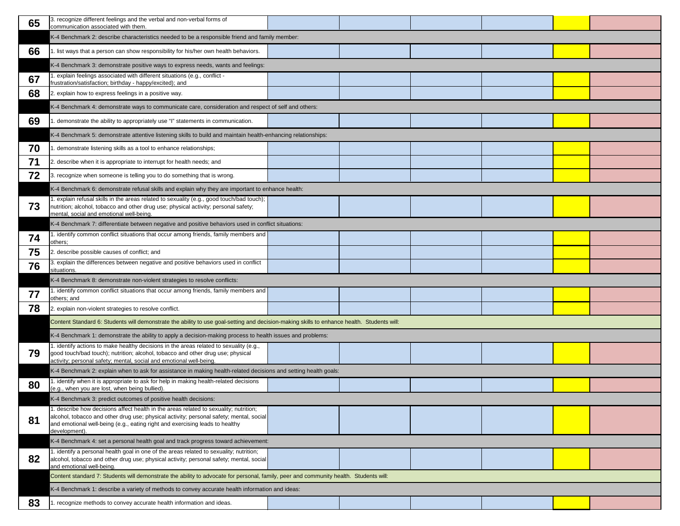| 65 | 3. recognize different feelings and the verbal and non-verbal forms of<br>communication associated with them.                                                                                                                                                                     |  |  |
|----|-----------------------------------------------------------------------------------------------------------------------------------------------------------------------------------------------------------------------------------------------------------------------------------|--|--|
|    | K-4 Benchmark 2: describe characteristics needed to be a responsible friend and family member:                                                                                                                                                                                    |  |  |
| 66 | 1. list ways that a person can show responsibility for his/her own health behaviors.                                                                                                                                                                                              |  |  |
|    | K-4 Benchmark 3: demonstrate positive ways to express needs, wants and feelings:                                                                                                                                                                                                  |  |  |
| 67 | 1. explain feelings associated with different situations (e.g., conflict -<br>frustration/satisfaction; birthday - happy/excited); and                                                                                                                                            |  |  |
| 68 | 2. explain how to express feelings in a positive way.                                                                                                                                                                                                                             |  |  |
|    | K-4 Benchmark 4: demonstrate ways to communicate care, consideration and respect of self and others:                                                                                                                                                                              |  |  |
| 69 | 1. demonstrate the ability to appropriately use "I" statements in communication.                                                                                                                                                                                                  |  |  |
|    | K-4 Benchmark 5: demonstrate attentive listening skills to build and maintain health-enhancing relationships:                                                                                                                                                                     |  |  |
| 70 | . demonstrate listening skills as a tool to enhance relationships;                                                                                                                                                                                                                |  |  |
| 71 | 2. describe when it is appropriate to interrupt for health needs; and                                                                                                                                                                                                             |  |  |
| 72 | 3. recognize when someone is telling you to do something that is wrong.                                                                                                                                                                                                           |  |  |
|    | K-4 Benchmark 6: demonstrate refusal skills and explain why they are important to enhance health:                                                                                                                                                                                 |  |  |
| 73 | 1. explain refusal skills in the areas related to sexuality (e.g., good touch/bad touch);<br>nutrition; alcohol, tobacco and other drug use; physical activity; personal safety;<br>mental, social and emotional well-being.                                                      |  |  |
|    | K-4 Benchmark 7: differentiate between negative and positive behaviors used in conflict situations:                                                                                                                                                                               |  |  |
| 74 | 1. identify common conflict situations that occur among friends, family members and<br>others;                                                                                                                                                                                    |  |  |
| 75 | 2. describe possible causes of conflict; and                                                                                                                                                                                                                                      |  |  |
| 76 | 3. explain the differences between negative and positive behaviors used in conflict<br>situations.                                                                                                                                                                                |  |  |
|    | K-4 Benchmark 8: demonstrate non-violent strategies to resolve conflicts:                                                                                                                                                                                                         |  |  |
| 77 | 1. identify common conflict situations that occur among friends, family members and<br>others; and                                                                                                                                                                                |  |  |
| 78 | 2. explain non-violent strategies to resolve conflict.                                                                                                                                                                                                                            |  |  |
|    | Content Standard 6: Students will demonstrate the ability to use goal-setting and decision-making skills to enhance health. Students will:                                                                                                                                        |  |  |
|    | K-4 Benchmark 1: demonstrate the ability to apply a decision-making process to health issues and problems:                                                                                                                                                                        |  |  |
| 79 | 1. identify actions to make healthy decisions in the areas related to sexuality (e.g.,<br>good touch/bad touch); nutrition; alcohol, tobacco and other drug use; physical<br>activity; personal safety; mental, social and emotional well-being.                                  |  |  |
|    | K-4 Benchmark 2: explain when to ask for assistance in making health-related decisions and setting health goals:                                                                                                                                                                  |  |  |
| 80 | 1. identify when it is appropriate to ask for help in making health-related decisions<br>(e.g., when you are lost, when being bullied).                                                                                                                                           |  |  |
|    | K-4 Benchmark 3: predict outcomes of positive health decisions:                                                                                                                                                                                                                   |  |  |
| 81 | 1. describe how decisions affect health in the areas related to sexuality; nutrition;<br>alcohol, tobacco and other drug use; physical activity; personal safety; mental, social<br>and emotional well-being (e.g., eating right and exercising leads to healthy<br>development). |  |  |
|    | K-4 Benchmark 4: set a personal health goal and track progress toward achievement:                                                                                                                                                                                                |  |  |
| 82 | 1. identify a personal health goal in one of the areas related to sexuality; nutrition;<br>alcohol, tobacco and other drug use; physical activity; personal safety; mental, social<br>and emotional well-being.                                                                   |  |  |
|    | Content standard 7: Students will demonstrate the ability to advocate for personal, family, peer and community health. Students will:                                                                                                                                             |  |  |
|    | K-4 Benchmark 1: describe a variety of methods to convey accurate health information and ideas:                                                                                                                                                                                   |  |  |
| 83 | 1. recognize methods to convey accurate health information and ideas.                                                                                                                                                                                                             |  |  |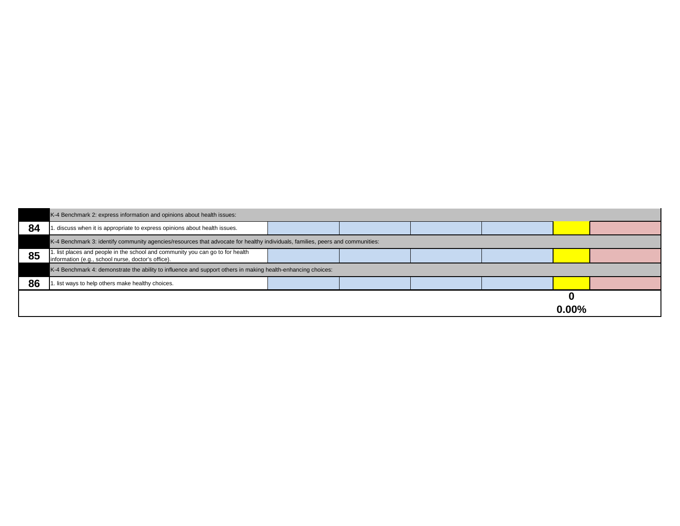|    | K-4 Benchmark 2: express information and opinions about health issues:                                                               |  |  |  |
|----|--------------------------------------------------------------------------------------------------------------------------------------|--|--|--|
| 84 | . discuss when it is appropriate to express opinions about health issues.                                                            |  |  |  |
|    | K-4 Benchmark 3: identify community agencies/resources that advocate for healthy individuals, families, peers and communities:       |  |  |  |
| 85 | 1. list places and people in the school and community you can go to for health<br>information (e.g., school nurse, doctor's office). |  |  |  |
|    | K-4 Benchmark 4: demonstrate the ability to influence and support others in making health-enhancing choices:                         |  |  |  |
| 86 | I. list ways to help others make healthy choices.                                                                                    |  |  |  |
|    |                                                                                                                                      |  |  |  |

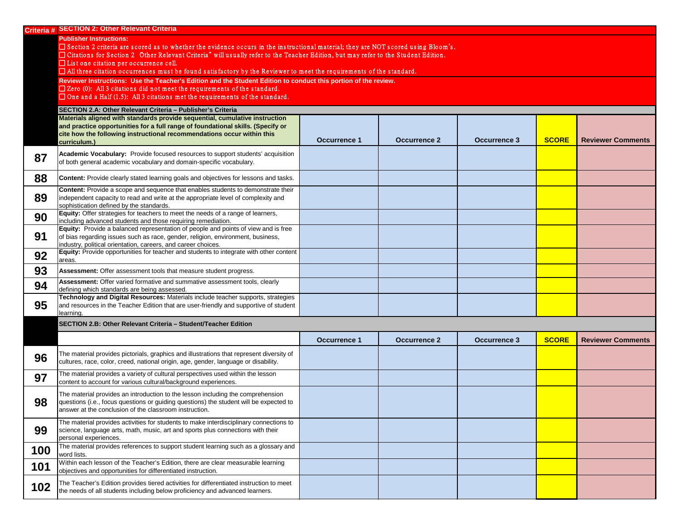|                        | Criteria # SECTION 2: Other Relevant Criteria                                                                                                                               |                     |                     |                     |              |                          |
|------------------------|-----------------------------------------------------------------------------------------------------------------------------------------------------------------------------|---------------------|---------------------|---------------------|--------------|--------------------------|
|                        | <b>Publisher Instructions:</b>                                                                                                                                              |                     |                     |                     |              |                          |
|                        | $\Box$ Section 2 criteria are scored as to whether the evidence occurs in the instructional material; they are NOT scored using Bloom's.                                    |                     |                     |                     |              |                          |
|                        | □ Citations for Section 2 Other Relevant Criteria" will usually refer to the Teacher Edition, but may refer to the Student Edition.                                         |                     |                     |                     |              |                          |
|                        | $\Box$ List one citation per occurrence cell.<br>$\Box$ All three citation occurrences must be found satisfactory by the Reviewer to meet the requirements of the standard. |                     |                     |                     |              |                          |
|                        | Reviewer Instructions: Use the Teacher's Edition and the Student Edition to conduct this portion of the review.                                                             |                     |                     |                     |              |                          |
|                        | $\Box$ Zero (0): All 3 citations did not meet the requirements of the standard.                                                                                             |                     |                     |                     |              |                          |
|                        | $\Box$ One and a Half (1.5): All 3 citations met the requirements of the standard.                                                                                          |                     |                     |                     |              |                          |
|                        | SECTION 2.A: Other Relevant Criteria - Publisher's Criteria                                                                                                                 |                     |                     |                     |              |                          |
|                        | Materials aligned with standards provide sequential, cumulative instruction                                                                                                 |                     |                     |                     |              |                          |
|                        | and practice opportunities for a full range of foundational skills. (Specify or                                                                                             |                     |                     |                     |              |                          |
|                        | cite how the following instructional recommendations occur within this                                                                                                      |                     |                     |                     |              |                          |
|                        | curriculum.)                                                                                                                                                                | <b>Occurrence 1</b> | <b>Occurrence 2</b> | <b>Occurrence 3</b> | <b>SCORE</b> | <b>Reviewer Comments</b> |
| 87                     | Academic Vocabulary: Provide focused resources to support students' acquisition                                                                                             |                     |                     |                     |              |                          |
|                        | of both general academic vocabulary and domain-specific vocabulary.                                                                                                         |                     |                     |                     |              |                          |
| 88                     | <b>Content:</b> Provide clearly stated learning goals and objectives for lessons and tasks.                                                                                 |                     |                     |                     |              |                          |
|                        | Content: Provide a scope and sequence that enables students to demonstrate their                                                                                            |                     |                     |                     |              |                          |
| 89                     | independent capacity to read and write at the appropriate level of complexity and                                                                                           |                     |                     |                     |              |                          |
|                        | sophistication defined by the standards.                                                                                                                                    |                     |                     |                     |              |                          |
| 90                     | Equity: Offer strategies for teachers to meet the needs of a range of learners,                                                                                             |                     |                     |                     |              |                          |
|                        | including advanced students and those requiring remediation.<br>Equity: Provide a balanced representation of people and points of view and is free                          |                     |                     |                     |              |                          |
| 91                     | of bias regarding issues such as race, gender, religion, environment, business,                                                                                             |                     |                     |                     |              |                          |
|                        | industry, political orientation, careers, and career choices.                                                                                                               |                     |                     |                     |              |                          |
| 92                     | Equity: Provide opportunities for teacher and students to integrate with other content<br>areas.                                                                            |                     |                     |                     |              |                          |
| 93                     | Assessment: Offer assessment tools that measure student progress.                                                                                                           |                     |                     |                     |              |                          |
| $Q_{\mathbf{\Lambda}}$ | Assessment: Offer varied formative and summative assessment tools, clearly                                                                                                  |                     |                     |                     |              |                          |
| ◡┭                     | defining which standards are being assessed<br>Technology and Digital Resources: Materials include teacher supports, strategies                                             |                     |                     |                     |              |                          |
| 95                     | and resources in the Teacher Edition that are user-friendly and supportive of student                                                                                       |                     |                     |                     |              |                          |
|                        | learning.                                                                                                                                                                   |                     |                     |                     |              |                          |
|                        | SECTION 2.B: Other Relevant Criteria - Student/Teacher Edition                                                                                                              |                     |                     |                     |              |                          |
|                        |                                                                                                                                                                             |                     |                     |                     |              |                          |
|                        |                                                                                                                                                                             | <b>Occurrence 1</b> | <b>Occurrence 2</b> | <b>Occurrence 3</b> | <b>SCORE</b> | <b>Reviewer Comments</b> |
|                        | The material provides pictorials, graphics and illustrations that represent diversity of                                                                                    |                     |                     |                     |              |                          |
| 96                     | cultures, race, color, creed, national origin, age, gender, language or disability.                                                                                         |                     |                     |                     |              |                          |
|                        | The material provides a variety of cultural perspectives used within the lesson                                                                                             |                     |                     |                     |              |                          |
| 97                     | content to account for various cultural/background experiences.                                                                                                             |                     |                     |                     |              |                          |
|                        | The material provides an introduction to the lesson including the comprehension                                                                                             |                     |                     |                     |              |                          |
| 98                     | questions (i.e., focus questions or guiding questions) the student will be expected to                                                                                      |                     |                     |                     |              |                          |
|                        | answer at the conclusion of the classroom instruction.                                                                                                                      |                     |                     |                     |              |                          |
|                        | The material provides activities for students to make interdisciplinary connections to                                                                                      |                     |                     |                     |              |                          |
| 99                     | science, language arts, math, music, art and sports plus connections with their                                                                                             |                     |                     |                     |              |                          |
|                        | personal experiences.                                                                                                                                                       |                     |                     |                     |              |                          |
| 100                    | The material provides references to support student learning such as a glossary and                                                                                         |                     |                     |                     |              |                          |
|                        | word lists.                                                                                                                                                                 |                     |                     |                     |              |                          |
| 101                    | Within each lesson of the Teacher's Edition, there are clear measurable learning<br>objectives and opportunities for differentiated instruction.                            |                     |                     |                     |              |                          |
|                        |                                                                                                                                                                             |                     |                     |                     |              |                          |
| 102                    | The Teacher's Edition provides tiered activities for differentiated instruction to meet<br>the needs of all students including below proficiency and advanced learners.     |                     |                     |                     |              |                          |
|                        |                                                                                                                                                                             |                     |                     |                     |              |                          |

| <b>SCORE</b> | <b>Reviewer Comments</b> |
|--------------|--------------------------|
|              |                          |
|              |                          |
|              |                          |
|              |                          |
|              |                          |
|              |                          |
|              |                          |
|              |                          |
|              |                          |

| <b>SCORE</b> | <b>Reviewer Comments</b> |
|--------------|--------------------------|
|              |                          |
|              |                          |
|              |                          |
|              |                          |
|              |                          |
|              |                          |
|              |                          |